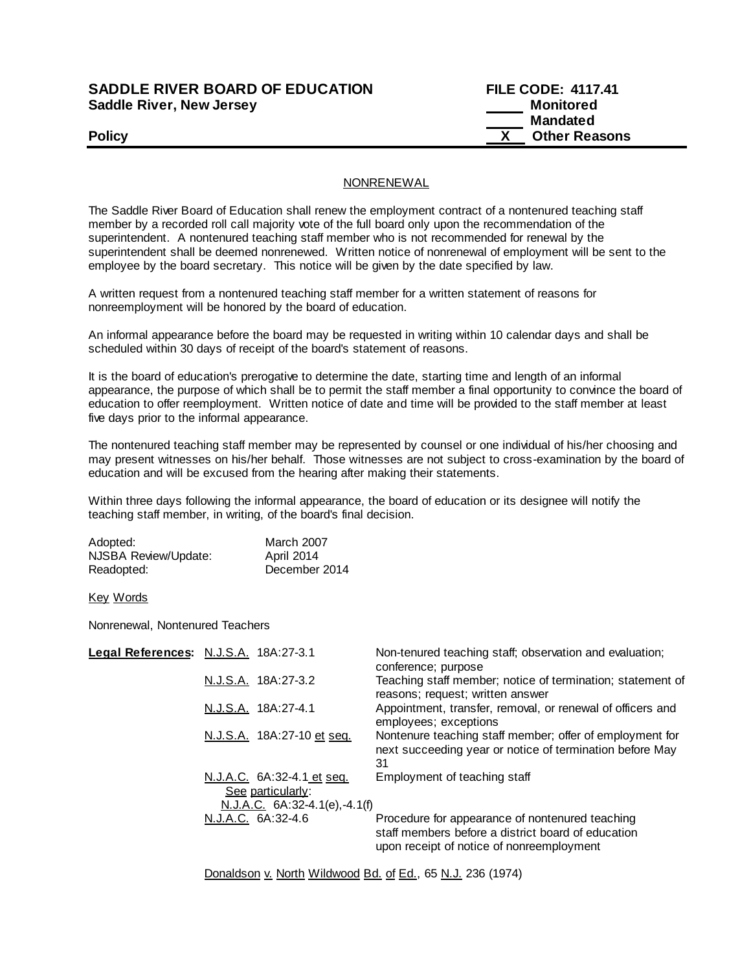## **SADDLE RIVER BOARD OF EDUCATION Saddle River, New Jersey**

| <b>SADDLE RIVER BOARD OF EDUCATION</b> | <b>FILE CODE: 4117.41</b> |
|----------------------------------------|---------------------------|
| Saddle River, New Jersey               | Monitored                 |
|                                        | Mandated                  |
| <b>Policy</b>                          | <b>Other Reasons</b>      |

## NONRENEWAL

The Saddle River Board of Education shall renew the employment contract of a nontenured teaching staff member by a recorded roll call majority vote of the full board only upon the recommendation of the superintendent. A nontenured teaching staff member who is not recommended for renewal by the superintendent shall be deemed nonrenewed. Written notice of nonrenewal of employment will be sent to the employee by the board secretary. This notice will be given by the date specified by law.

A written request from a nontenured teaching staff member for a written statement of reasons for nonreemployment will be honored by the board of education.

An informal appearance before the board may be requested in writing within 10 calendar days and shall be scheduled within 30 days of receipt of the board's statement of reasons.

It is the board of education's prerogative to determine the date, starting time and length of an informal appearance, the purpose of which shall be to permit the staff member a final opportunity to convince the board of education to offer reemployment. Written notice of date and time will be provided to the staff member at least five days prior to the informal appearance.

The nontenured teaching staff member may be represented by counsel or one individual of his/her choosing and may present witnesses on his/her behalf. Those witnesses are not subject to cross-examination by the board of education and will be excused from the hearing after making their statements.

Within three days following the informal appearance, the board of education or its designee will notify the teaching staff member, in writing, of the board's final decision.

| Adopted:             | <b>March 2007</b> |
|----------------------|-------------------|
| NJSBA Review/Update: | April 2014        |
| Readopted:           | December 2014     |

Key Words

Nonrenewal, Nontenured Teachers

| Legal References: N.J.S.A. 18A:27-3.1                                                | Non-tenured teaching staff; observation and evaluation;<br>conference; purpose                                                                     |
|--------------------------------------------------------------------------------------|----------------------------------------------------------------------------------------------------------------------------------------------------|
| N.J.S.A. 18A:27-3.2                                                                  | Teaching staff member; notice of termination; statement of<br>reasons; request; written answer                                                     |
| N.J.S.A. 18A:27-4.1                                                                  | Appointment, transfer, removal, or renewal of officers and<br>employees; exceptions                                                                |
| N.J.S.A. 18A:27-10 et seq.                                                           | Nontenure teaching staff member; offer of employment for<br>next succeeding year or notice of termination before May<br>31                         |
| N.J.A.C. 6A:32-4.1 et seq.<br>See particularly:<br>N.J.A.C. $6A:32-4.1(e)$ , -4.1(f) | Employment of teaching staff                                                                                                                       |
| N.J.A.C. 6A:32-4.6                                                                   | Procedure for appearance of nontenured teaching<br>staff members before a district board of education<br>upon receipt of notice of nonreemployment |
|                                                                                      |                                                                                                                                                    |

Donaldson v. North Wildwood Bd. of Ed., 65 N.J. 236 (1974)